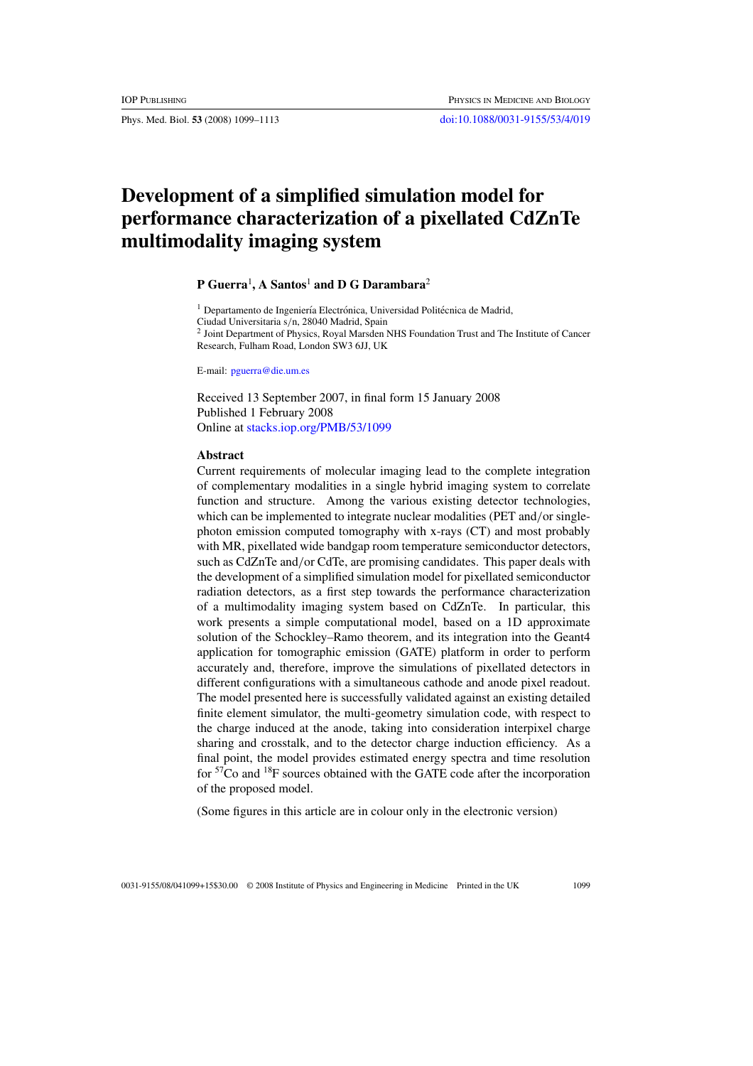Phys. Med. Biol. **53** (2008) 1099–1113 [doi:10.1088/0031-9155/53/4/019](http://dx.doi.org/10.1088/0031-9155/53/4/019)

# **Development of a simplified simulation model for performance characterization of a pixellated CdZnTe multimodality imaging system**

## **P Guerra**<sup>1</sup> **, A Santos**<sup>1</sup> **and D G Darambara**<sup>2</sup>

 $1$  Departamento de Ingeniería Electrónica, Universidad Politécnica de Madrid, Ciudad Universitaria s*/*n, 28040 Madrid, Spain <sup>2</sup> Joint Department of Physics, Royal Marsden NHS Foundation Trust and The Institute of Cancer Research, Fulham Road, London SW3 6JJ, UK

E-mail: [pguerra@die.um.es](mailto:pguerra@die.um.es)

Received 13 September 2007, in final form 15 January 2008 Published 1 February 2008 Online at [stacks.iop.org/PMB/53/1099](http://stacks.iop.org/PMB/53/1099)

#### **Abstract**

Current requirements of molecular imaging lead to the complete integration of complementary modalities in a single hybrid imaging system to correlate function and structure. Among the various existing detector technologies, which can be implemented to integrate nuclear modalities (PET and*/*or singlephoton emission computed tomography with x-rays (CT) and most probably with MR, pixellated wide bandgap room temperature semiconductor detectors, such as CdZnTe and*/*or CdTe, are promising candidates. This paper deals with the development of a simplified simulation model for pixellated semiconductor radiation detectors, as a first step towards the performance characterization of a multimodality imaging system based on CdZnTe. In particular, this work presents a simple computational model, based on a 1D approximate solution of the Schockley–Ramo theorem, and its integration into the Geant4 application for tomographic emission (GATE) platform in order to perform accurately and, therefore, improve the simulations of pixellated detectors in different configurations with a simultaneous cathode and anode pixel readout. The model presented here is successfully validated against an existing detailed finite element simulator, the multi-geometry simulation code, with respect to the charge induced at the anode, taking into consideration interpixel charge sharing and crosstalk, and to the detector charge induction efficiency. As a final point, the model provides estimated energy spectra and time resolution for 57Co and 18F sources obtained with the GATE code after the incorporation of the proposed model.

(Some figures in this article are in colour only in the electronic version)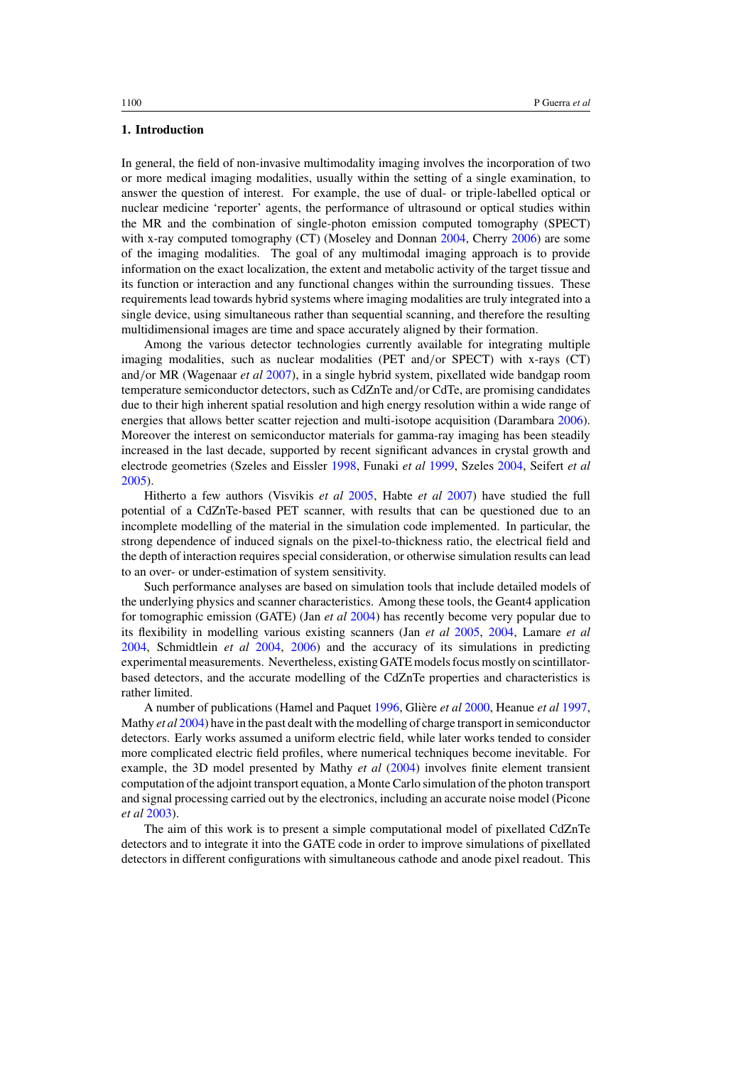## **1. Introduction**

In general, the field of non-invasive multimodality imaging involves the incorporation of two or more medical imaging modalities, usually within the setting of a single examination, to answer the question of interest. For example, the use of dual- or triple-labelled optical or nuclear medicine 'reporter' agents, the performance of ultrasound or optical studies within the MR and the combination of single-photon emission computed tomography (SPECT) with x-ray computed tomography (CT) (Moseley and Donnan [2004](#page-14-0), Cherry [2006](#page-13-0)) are some of the imaging modalities. The goal of any multimodal imaging approach is to provide information on the exact localization, the extent and metabolic activity of the target tissue and its function or interaction and any functional changes within the surrounding tissues. These requirements lead towards hybrid systems where imaging modalities are truly integrated into a single device, using simultaneous rather than sequential scanning, and therefore the resulting multidimensional images are time and space accurately aligned by their formation.

Among the various detector technologies currently available for integrating multiple imaging modalities, such as nuclear modalities (PET and*/*or SPECT) with x-rays (CT) and*/*or MR (Wagenaar *et al* [2007](#page-14-0)), in a single hybrid system, pixellated wide bandgap room temperature semiconductor detectors, such as CdZnTe and*/*or CdTe, are promising candidates due to their high inherent spatial resolution and high energy resolution within a wide range of energies that allows better scatter rejection and multi-isotope acquisition (Darambara [2006\)](#page-13-0). Moreover the interest on semiconductor materials for gamma-ray imaging has been steadily increased in the last decade, supported by recent significant advances in crystal growth and electrode geometries (Szeles and Eissler [1998,](#page-14-0) Funaki *et al* [1999](#page-13-0), Szeles [2004](#page-14-0), Seifert *et al* [2005\)](#page-14-0).

Hitherto a few authors (Visvikis *et al* [2005](#page-14-0), Habte *et al* [2007](#page-13-0)) have studied the full potential of a CdZnTe-based PET scanner, with results that can be questioned due to an incomplete modelling of the material in the simulation code implemented. In particular, the strong dependence of induced signals on the pixel-to-thickness ratio, the electrical field and the depth of interaction requires special consideration, or otherwise simulation results can lead to an over- or under-estimation of system sensitivity.

Such performance analyses are based on simulation tools that include detailed models of the underlying physics and scanner characteristics. Among these tools, the Geant4 application for tomographic emission (GATE) (Jan *et al* [2004\)](#page-13-0) has recently become very popular due to its flexibility in modelling various existing scanners (Jan *et al* [2005](#page-13-0), [2004](#page-13-0), Lamare *et al* [2004,](#page-13-0) Schmidtlein *et al* [2004,](#page-14-0) [2006\)](#page-14-0) and the accuracy of its simulations in predicting experimental measurements. Nevertheless, existing GATE models focus mostly on scintillatorbased detectors, and the accurate modelling of the CdZnTe properties and characteristics is rather limited.

A number of publications (Hamel and Paquet [1996,](#page-13-0) Gliere ` *et al* [2000](#page-13-0), Heanue *et al* [1997](#page-13-0), Mathy *et al* [2004\)](#page-13-0) have in the past dealt with the modelling of charge transport in semiconductor detectors. Early works assumed a uniform electric field, while later works tended to consider more complicated electric field profiles, where numerical techniques become inevitable. For example, the 3D model presented by Mathy *et al* [\(2004](#page-13-0)) involves finite element transient computation of the adjoint transport equation, a Monte Carlo simulation of the photon transport and signal processing carried out by the electronics, including an accurate noise model (Picone *et al* [2003\)](#page-14-0).

The aim of this work is to present a simple computational model of pixellated CdZnTe detectors and to integrate it into the GATE code in order to improve simulations of pixellated detectors in different configurations with simultaneous cathode and anode pixel readout. This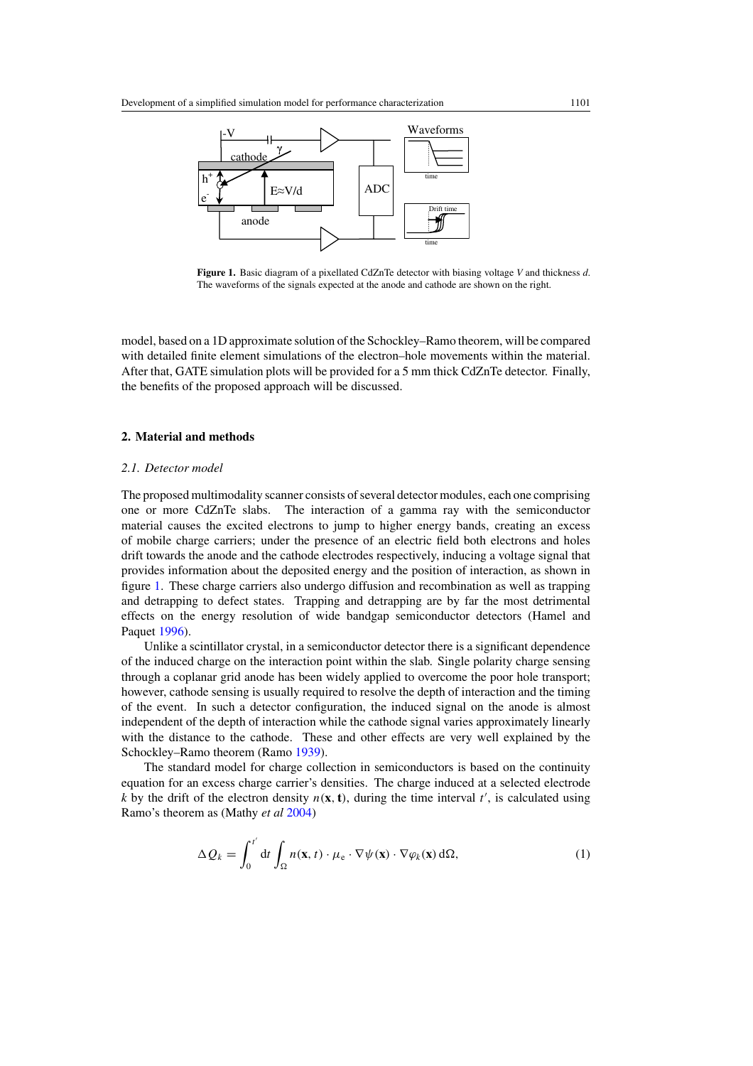<span id="page-2-0"></span>

**Figure 1.** Basic diagram of a pixellated CdZnTe detector with biasing voltage *V* and thickness *d*. The waveforms of the signals expected at the anode and cathode are shown on the right.

model, based on a 1D approximate solution of the Schockley–Ramo theorem, will be compared with detailed finite element simulations of the electron–hole movements within the material. After that, GATE simulation plots will be provided for a 5 mm thick CdZnTe detector. Finally, the benefits of the proposed approach will be discussed.

## **2. Material and methods**

### *2.1. Detector model*

The proposed multimodality scanner consists of several detector modules, each one comprising one or more CdZnTe slabs. The interaction of a gamma ray with the semiconductor material causes the excited electrons to jump to higher energy bands, creating an excess of mobile charge carriers; under the presence of an electric field both electrons and holes drift towards the anode and the cathode electrodes respectively, inducing a voltage signal that provides information about the deposited energy and the position of interaction, as shown in figure 1. These charge carriers also undergo diffusion and recombination as well as trapping and detrapping to defect states. Trapping and detrapping are by far the most detrimental effects on the energy resolution of wide bandgap semiconductor detectors (Hamel and Paquet [1996](#page-13-0)).

Unlike a scintillator crystal, in a semiconductor detector there is a significant dependence of the induced charge on the interaction point within the slab. Single polarity charge sensing through a coplanar grid anode has been widely applied to overcome the poor hole transport; however, cathode sensing is usually required to resolve the depth of interaction and the timing of the event. In such a detector configuration, the induced signal on the anode is almost independent of the depth of interaction while the cathode signal varies approximately linearly with the distance to the cathode. These and other effects are very well explained by the Schockley–Ramo theorem (Ramo [1939](#page-14-0)).

The standard model for charge collection in semiconductors is based on the continuity equation for an excess charge carrier's densities. The charge induced at a selected electrode *k* by the drift of the electron density  $n(\mathbf{x}, \mathbf{t})$ , during the time interval  $t'$ , is calculated using Ramo's theorem as (Mathy *et al* [2004](#page-13-0))

$$
\Delta Q_k = \int_0^{t'} dt \int_{\Omega} n(\mathbf{x}, t) \cdot \mu_e \cdot \nabla \psi(\mathbf{x}) \cdot \nabla \varphi_k(\mathbf{x}) d\Omega,
$$
\n(1)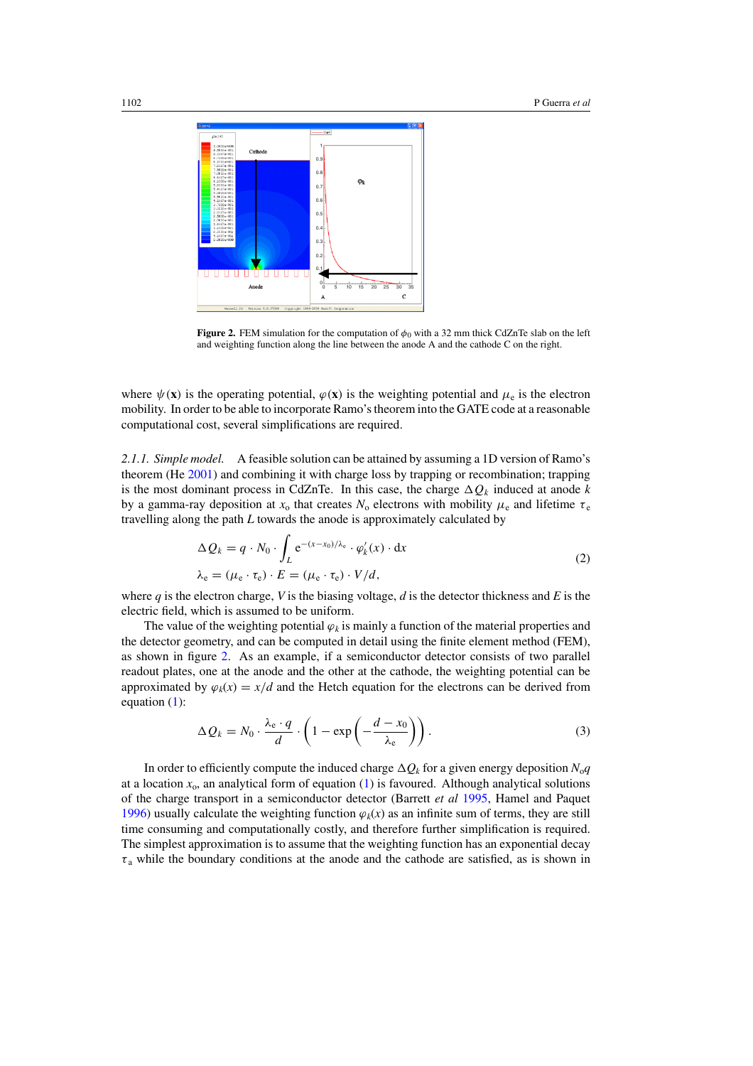

**Figure 2.** FEM simulation for the computation of  $\phi_0$  with a 32 mm thick CdZnTe slab on the left and weighting function along the line between the anode A and the cathode C on the right.

where  $\psi(\mathbf{x})$  is the operating potential,  $\varphi(\mathbf{x})$  is the weighting potential and  $\mu_e$  is the electron mobility. In order to be able to incorporate Ramo's theorem into the GATE code at a reasonable computational cost, several simplifications are required.

*2.1.1. Simple model.* A feasible solution can be attained by assuming a 1D version of Ramo's theorem (He [2001](#page-13-0)) and combining it with charge loss by trapping or recombination; trapping is the most dominant process in CdZnTe. In this case, the charge  $\Delta Q_k$  induced at anode k by a gamma-ray deposition at  $x_0$  that creates  $N_0$  electrons with mobility  $\mu_e$  and lifetime  $\tau_e$ travelling along the path *L* towards the anode is approximately calculated by

$$
\Delta Q_k = q \cdot N_0 \cdot \int_L e^{-(x-x_0)/\lambda_e} \cdot \varphi'_k(x) \cdot dx
$$
  

$$
\lambda_e = (\mu_e \cdot \tau_e) \cdot E = (\mu_e \cdot \tau_e) \cdot V/d,
$$
 (2)

where  $q$  is the electron charge,  $V$  is the biasing voltage,  $d$  is the detector thickness and  $E$  is the electric field, which is assumed to be uniform.

The value of the weighting potential  $\varphi_k$  is mainly a function of the material properties and the detector geometry, and can be computed in detail using the finite element method (FEM), as shown in figure 2. As an example, if a semiconductor detector consists of two parallel readout plates, one at the anode and the other at the cathode, the weighting potential can be approximated by  $\varphi_k(x) = x/d$  and the Hetch equation for the electrons can be derived from equation [\(1\)](#page-2-0):

$$
\Delta Q_k = N_0 \cdot \frac{\lambda_e \cdot q}{d} \cdot \left(1 - \exp\left(-\frac{d - x_0}{\lambda_e}\right)\right). \tag{3}
$$

In order to efficiently compute the induced charge  $\Delta Q_k$  for a given energy deposition  $N_0q$ at a location  $x_0$ , an analytical form of equation [\(1\)](#page-2-0) is favoured. Although analytical solutions of the charge transport in a semiconductor detector (Barrett *et al* [1995](#page-13-0), Hamel and Paquet [1996\)](#page-13-0) usually calculate the weighting function  $\varphi_k(x)$  as an infinite sum of terms, they are still time consuming and computationally costly, and therefore further simplification is required. The simplest approximation is to assume that the weighting function has an exponential decay  $\tau_a$  while the boundary conditions at the anode and the cathode are satisfied, as is shown in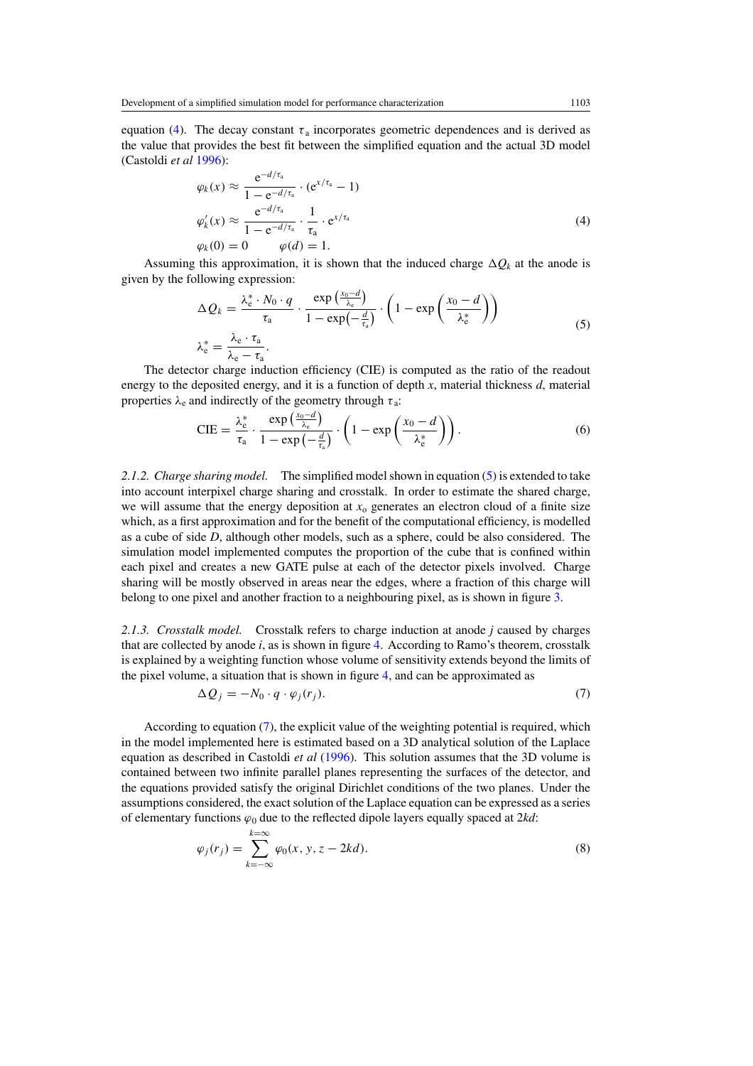<span id="page-4-0"></span>equation (4). The decay constant  $\tau_a$  incorporates geometric dependences and is derived as the value that provides the best fit between the simplified equation and the actual 3D model (Castoldi *et al* [1996\)](#page-13-0):

$$
\varphi_k(x) \approx \frac{e^{-d/\tau_a}}{1 - e^{-d/\tau_a}} \cdot (e^{x/\tau_a} - 1)
$$
  
\n
$$
\varphi'_k(x) \approx \frac{e^{-d/\tau_a}}{1 - e^{-d/\tau_a}} \cdot \frac{1}{\tau_a} \cdot e^{x/\tau_a}
$$
  
\n
$$
\varphi_k(0) = 0 \qquad \varphi(d) = 1.
$$
\n(4)

Assuming this approximation, it is shown that the induced charge  $\Delta Q_k$  at the anode is given by the following expression:

$$
\Delta Q_k = \frac{\lambda_e^* \cdot N_0 \cdot q}{\tau_a} \cdot \frac{\exp\left(\frac{x_0 - d}{\lambda_e}\right)}{1 - \exp\left(-\frac{d}{\tau_a}\right)} \cdot \left(1 - \exp\left(\frac{x_0 - d}{\lambda_e^*}\right)\right)
$$
  

$$
\lambda_e^* = \frac{\lambda_e \cdot \tau_a}{\lambda_e - \tau_a}.
$$
 (5)

The detector charge induction efficiency (CIE) is computed as the ratio of the readout energy to the deposited energy, and it is a function of depth *x*, material thickness *d*, material properties  $\lambda_e$  and indirectly of the geometry through  $\tau_a$ :

$$
\text{CIE} = \frac{\lambda_e^*}{\tau_a} \cdot \frac{\exp\left(\frac{x_0 - d}{\lambda_e}\right)}{1 - \exp\left(-\frac{d}{\tau_a}\right)} \cdot \left(1 - \exp\left(\frac{x_0 - d}{\lambda_e^*}\right)\right). \tag{6}
$$

*2.1.2. Charge sharing model.* The simplified model shown in equation (5) is extended to take into account interpixel charge sharing and crosstalk. In order to estimate the shared charge, we will assume that the energy deposition at  $x_0$  generates an electron cloud of a finite size which, as a first approximation and for the benefit of the computational efficiency, is modelled as a cube of side *D*, although other models, such as a sphere, could be also considered. The simulation model implemented computes the proportion of the cube that is confined within each pixel and creates a new GATE pulse at each of the detector pixels involved. Charge sharing will be mostly observed in areas near the edges, where a fraction of this charge will belong to one pixel and another fraction to a neighbouring pixel, as is shown in figure [3.](#page-5-0)

*2.1.3. Crosstalk model.* Crosstalk refers to charge induction at anode *j* caused by charges that are collected by anode *i*, as is shown in figure [4.](#page-5-0) According to Ramo's theorem, crosstalk is explained by a weighting function whose volume of sensitivity extends beyond the limits of the pixel volume, a situation that is shown in figure [4,](#page-5-0) and can be approximated as

$$
\Delta Q_j = -N_0 \cdot q \cdot \varphi_j(r_j). \tag{7}
$$

According to equation (7), the explicit value of the weighting potential is required, which in the model implemented here is estimated based on a 3D analytical solution of the Laplace equation as described in Castoldi *et al* [\(1996](#page-13-0)). This solution assumes that the 3D volume is contained between two infinite parallel planes representing the surfaces of the detector, and the equations provided satisfy the original Dirichlet conditions of the two planes. Under the assumptions considered, the exact solution of the Laplace equation can be expressed as a series of elementary functions *ϕ*<sup>0</sup> due to the reflected dipole layers equally spaced at 2*kd*:

$$
\varphi_j(r_j) = \sum_{k=-\infty}^{k=\infty} \varphi_0(x, y, z - 2kd).
$$
\n(8)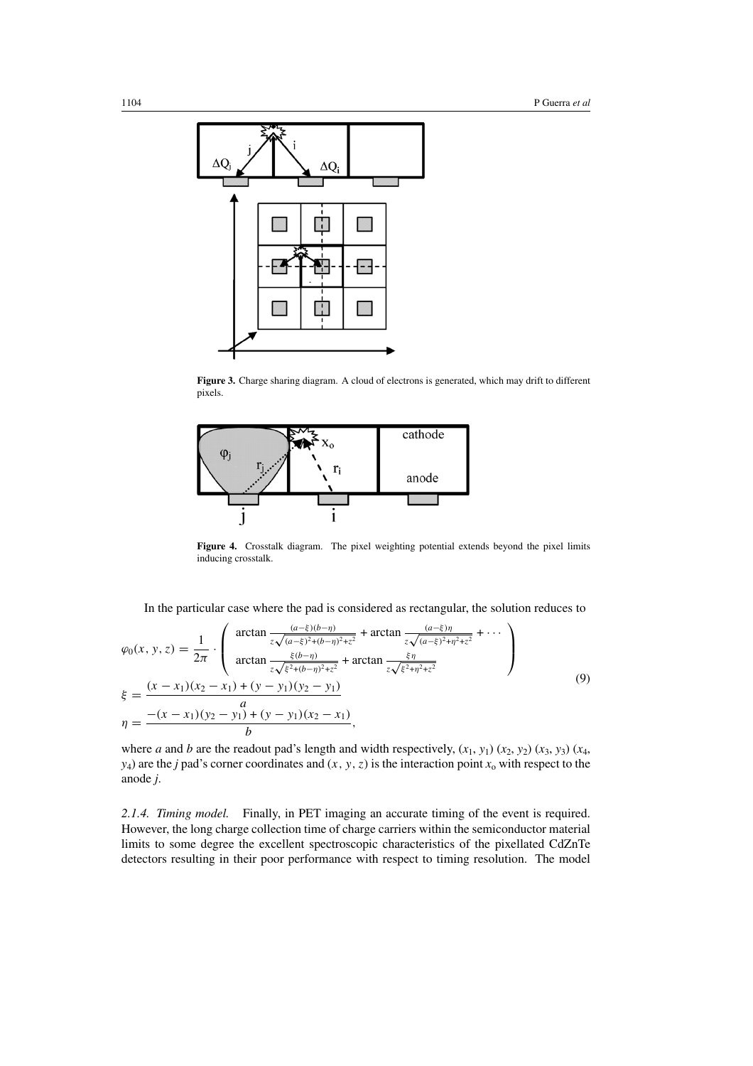<span id="page-5-0"></span>

Figure 3. Charge sharing diagram. A cloud of electrons is generated, which may drift to different pixels.



**Figure 4.** Crosstalk diagram. The pixel weighting potential extends beyond the pixel limits inducing crosstalk.

In the particular case where the pad is considered as rectangular, the solution reduces to

$$
\varphi_0(x, y, z) = \frac{1}{2\pi} \cdot \begin{pmatrix} \arctan \frac{(a-\xi)(b-\eta)}{z\sqrt{(a-\xi)^2+(b-\eta)^2+z^2}} + \arctan \frac{(a-\xi)\eta}{z\sqrt{(a-\xi)^2+\eta^2+z^2}} + \cdots \\ \arctan \frac{\xi(b-\eta)}{z\sqrt{\xi^2+(b-\eta)^2+z^2}} + \arctan \frac{\xi\eta}{z\sqrt{\xi^2+\eta^2+z^2}} \end{pmatrix}
$$
\n
$$
\xi = \frac{(x-x_1)(x_2-x_1) + (y-y_1)(y_2-y_1)}{a}
$$
\n
$$
\eta = \frac{-(x-x_1)(y_2-y_1) + (y-y_1)(x_2-x_1)}{b},
$$
\n(9)

where *a* and *b* are the readout pad's length and width respectively,  $(x_1, y_1)$   $(x_2, y_2)$   $(x_3, y_3)$   $(x_4, y_4)$ *y*<sub>4</sub>) are the *j* pad's corner coordinates and  $(x, y, z)$  is the interaction point  $x_0$  with respect to the anode *j*.

*2.1.4. Timing model.* Finally, in PET imaging an accurate timing of the event is required. However, the long charge collection time of charge carriers within the semiconductor material limits to some degree the excellent spectroscopic characteristics of the pixellated CdZnTe detectors resulting in their poor performance with respect to timing resolution. The model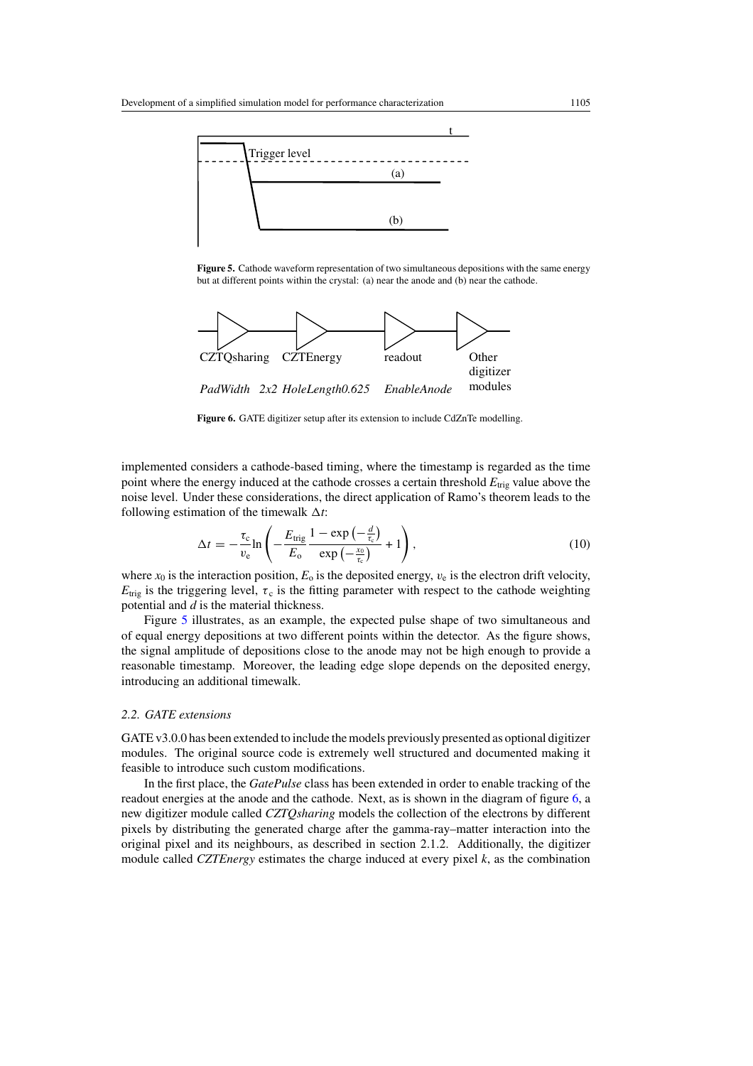<span id="page-6-0"></span>

**Figure 5.** Cathode waveform representation of two simultaneous depositions with the same energy but at different points within the crystal: (a) near the anode and (b) near the cathode.



**Figure 6.** GATE digitizer setup after its extension to include CdZnTe modelling.

implemented considers a cathode-based timing, where the timestamp is regarded as the time point where the energy induced at the cathode crosses a certain threshold  $E_{\text{trig}}$  value above the noise level. Under these considerations, the direct application of Ramo's theorem leads to the following estimation of the timewalk  $\Delta t$ :

$$
\Delta t = -\frac{\tau_{\rm c}}{v_{\rm e}} \ln \left( -\frac{E_{\rm trig}}{E_{\rm o}} \frac{1 - \exp\left(-\frac{t}{\tau_{\rm c}}\right)}{\exp\left(-\frac{x_0}{\tau_{\rm e}}\right)} + 1 \right),\tag{10}
$$

where  $x_0$  is the interaction position,  $E_0$  is the deposited energy,  $v_e$  is the electron drift velocity,  $E_{\text{trig}}$  is the triggering level,  $\tau_c$  is the fitting parameter with respect to the cathode weighting potential and *d* is the material thickness.

Figure 5 illustrates, as an example, the expected pulse shape of two simultaneous and of equal energy depositions at two different points within the detector. As the figure shows, the signal amplitude of depositions close to the anode may not be high enough to provide a reasonable timestamp. Moreover, the leading edge slope depends on the deposited energy, introducing an additional timewalk.

## *2.2. GATE extensions*

GATE v3.0.0 has been extended to include the models previously presented as optional digitizer modules. The original source code is extremely well structured and documented making it feasible to introduce such custom modifications.

In the first place, the *GatePulse* class has been extended in order to enable tracking of the readout energies at the anode and the cathode. Next, as is shown in the diagram of figure 6, a new digitizer module called *CZTQsharing* models the collection of the electrons by different pixels by distributing the generated charge after the gamma-ray–matter interaction into the original pixel and its neighbours, as described in section 2.1.2. Additionally, the digitizer module called *CZTEnergy* estimates the charge induced at every pixel *k*, as the combination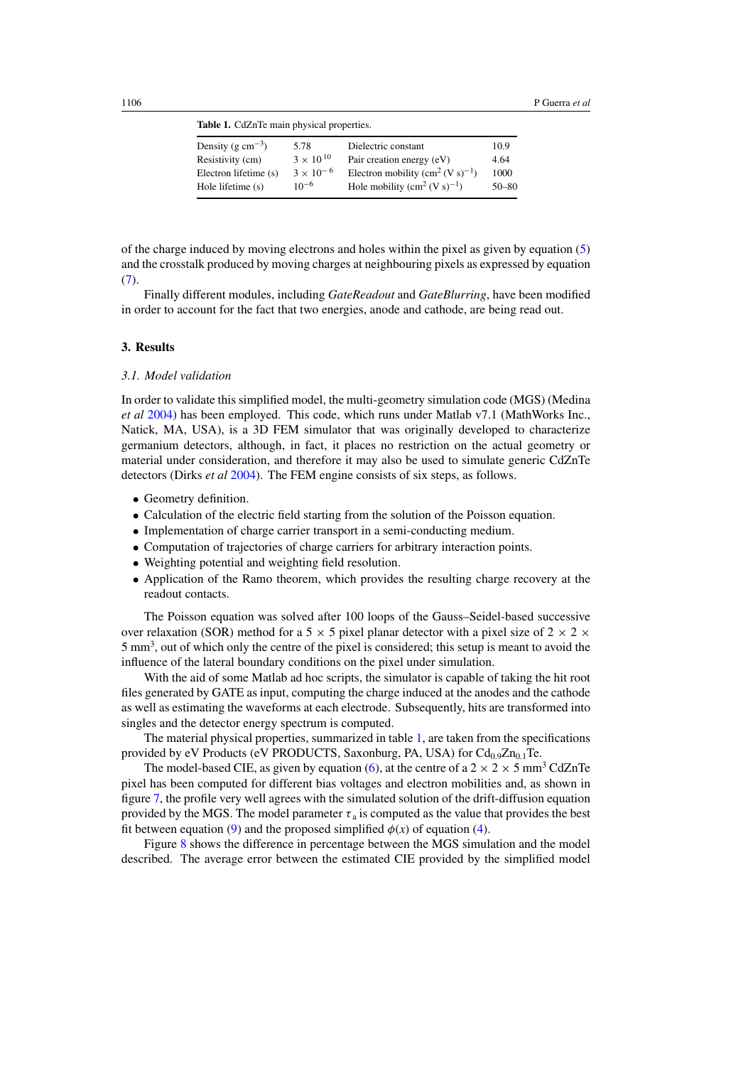**Table 1.** CdZnTe main physical properties.

| 5.78               | Dielectric constant                   | 10.9      |
|--------------------|---------------------------------------|-----------|
| $3 \times 10^{10}$ | Pair creation energy (eV)             | 4.64      |
| $3 \times 10^{-6}$ | Electron mobility $(cm^2 (V s)^{-1})$ | 1000      |
| $10^{-6}$          | Hole mobility $(cm^2 (V s)^{-1})$     | $50 - 80$ |
|                    |                                       |           |

of the charge induced by moving electrons and holes within the pixel as given by equation [\(5\)](#page-4-0) and the crosstalk produced by moving charges at neighbouring pixels as expressed by equation [\(7\)](#page-4-0).

Finally different modules, including *GateReadout* and *GateBlurring*, have been modified in order to account for the fact that two energies, anode and cathode, are being read out.

#### **3. Results**

#### *3.1. Model validation*

In order to validate this simplified model, the multi-geometry simulation code (MGS) (Medina *et al* [2004\)](#page-13-0) has been employed. This code, which runs under Matlab v7.1 (MathWorks Inc., Natick, MA, USA), is a 3D FEM simulator that was originally developed to characterize germanium detectors, although, in fact, it places no restriction on the actual geometry or material under consideration, and therefore it may also be used to simulate generic CdZnTe detectors (Dirks *et al* [2004](#page-13-0)). The FEM engine consists of six steps, as follows.

- Geometry definition.
- Calculation of the electric field starting from the solution of the Poisson equation.
- Implementation of charge carrier transport in a semi-conducting medium.
- Computation of trajectories of charge carriers for arbitrary interaction points.
- Weighting potential and weighting field resolution.
- Application of the Ramo theorem, which provides the resulting charge recovery at the readout contacts.

The Poisson equation was solved after 100 loops of the Gauss–Seidel-based successive over relaxation (SOR) method for a 5  $\times$  5 pixel planar detector with a pixel size of 2  $\times$  2  $\times$ 5 mm<sup>3</sup>, out of which only the centre of the pixel is considered; this setup is meant to avoid the influence of the lateral boundary conditions on the pixel under simulation.

With the aid of some Matlab ad hoc scripts, the simulator is capable of taking the hit root files generated by GATE as input, computing the charge induced at the anodes and the cathode as well as estimating the waveforms at each electrode. Subsequently, hits are transformed into singles and the detector energy spectrum is computed.

The material physical properties, summarized in table 1, are taken from the specifications provided by eV Products (eV PRODUCTS, Saxonburg, PA, USA) for  $Cd_{0.9}Zn_{0.1}Te$ .

The model-based CIE, as given by equation [\(6\)](#page-4-0), at the centre of a  $2 \times 2 \times 5$  mm<sup>3</sup> CdZnTe pixel has been computed for different bias voltages and electron mobilities and, as shown in figure [7,](#page-8-0) the profile very well agrees with the simulated solution of the drift-diffusion equation provided by the MGS. The model parameter  $\tau_a$  is computed as the value that provides the best fit between equation [\(9\)](#page-5-0) and the proposed simplified  $\phi(x)$  of equation [\(4\)](#page-4-0).

Figure [8](#page-8-0) shows the difference in percentage between the MGS simulation and the model described. The average error between the estimated CIE provided by the simplified model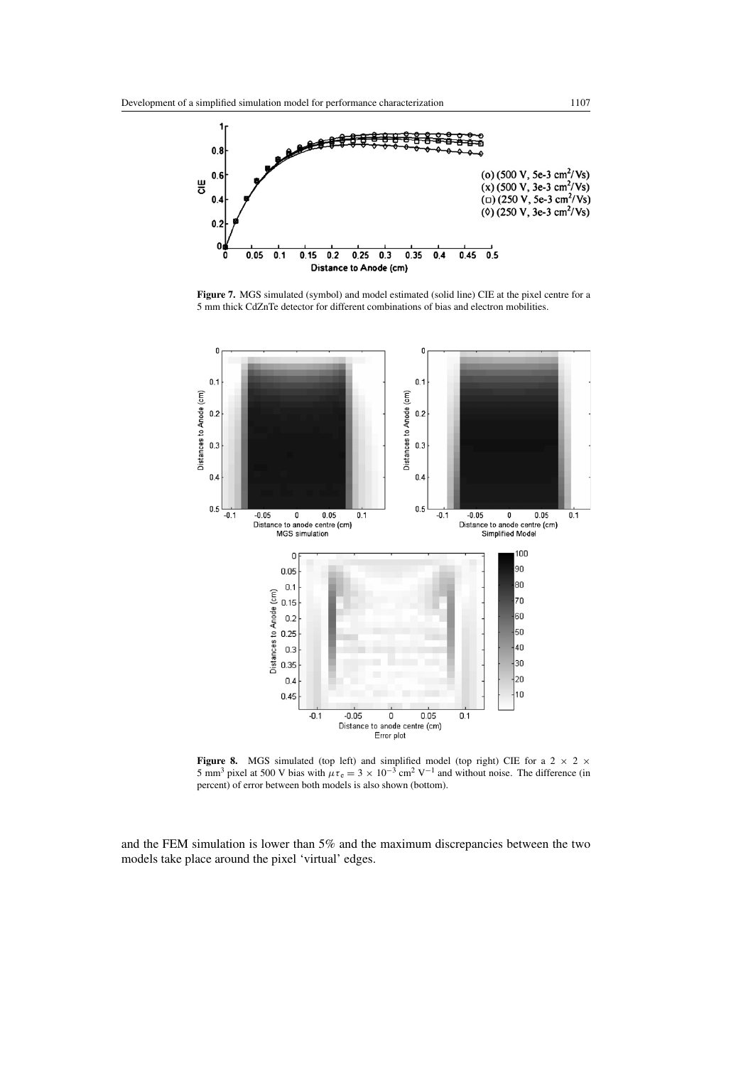<span id="page-8-0"></span>

**Figure 7.** MGS simulated (symbol) and model estimated (solid line) CIE at the pixel centre for a 5 mm thick CdZnTe detector for different combinations of bias and electron mobilities.



**Figure 8.** MGS simulated (top left) and simplified model (top right) CIE for a  $2 \times 2 \times$ 5 mm<sup>3</sup> pixel at 500 V bias with  $\mu \tau_e = 3 \times 10^{-3}$  cm<sup>2</sup> V<sup>-1</sup> and without noise. The difference (in percent) of error between both models is also shown (bottom).

and the FEM simulation is lower than 5% and the maximum discrepancies between the two models take place around the pixel 'virtual' edges.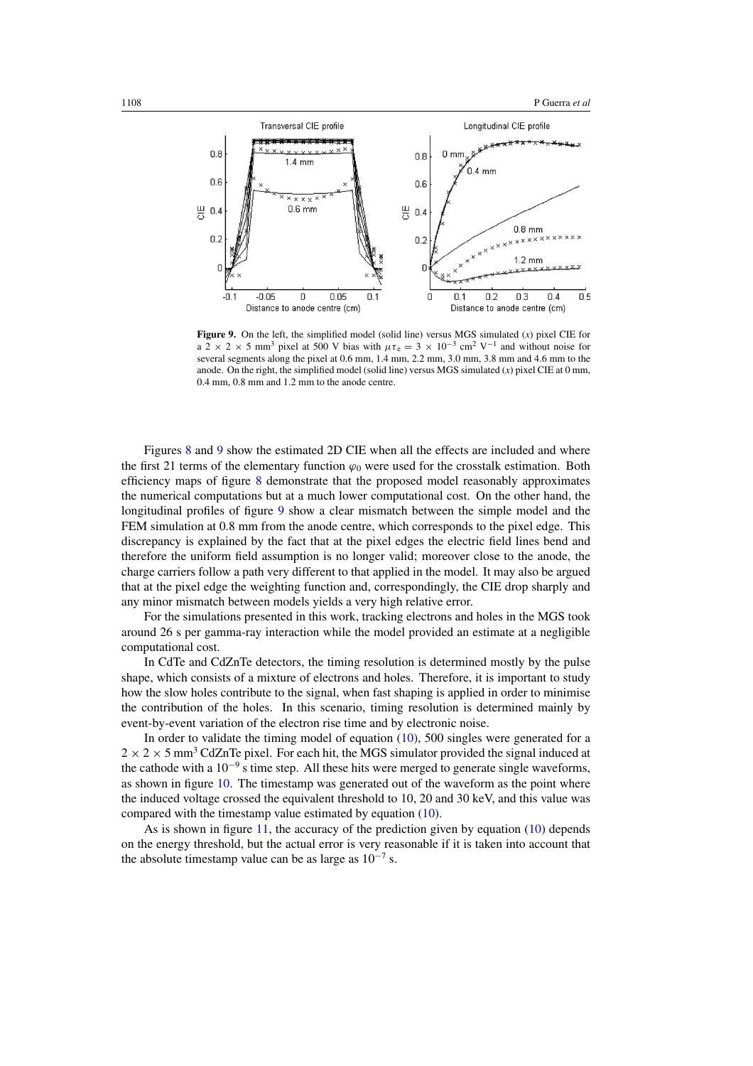

**Figure 9.** On the left, the simplified model (solid line) versus MGS simulated (*x*) pixel CIE for a 2 × 2 × 5 mm<sup>3</sup> pixel at 500 V bias with  $\mu \tau_e = 3 \times 10^{-3}$  cm<sup>2</sup> V<sup>-1</sup> and without noise for several segments along the pixel at 0.6 mm, 1.4 mm, 2.2 mm, 3.0 mm, 3.8 mm and 4.6 mm to the anode. On the right, the simplified model (solid line) versus MGS simulated (*x*) pixel CIE at 0 mm, 0.4 mm, 0.8 mm and 1.2 mm to the anode centre.

Figures [8](#page-8-0) and 9 show the estimated 2D CIE when all the effects are included and where the first 21 terms of the elementary function  $\varphi_0$  were used for the crosstalk estimation. Both efficiency maps of figure [8](#page-8-0) demonstrate that the proposed model reasonably approximates the numerical computations but at a much lower computational cost. On the other hand, the longitudinal profiles of figure 9 show a clear mismatch between the simple model and the FEM simulation at 0.8 mm from the anode centre, which corresponds to the pixel edge. This discrepancy is explained by the fact that at the pixel edges the electric field lines bend and therefore the uniform field assumption is no longer valid; moreover close to the anode, the charge carriers follow a path very different to that applied in the model. It may also be argued that at the pixel edge the weighting function and, correspondingly, the CIE drop sharply and any minor mismatch between models yields a very high relative error.

For the simulations presented in this work, tracking electrons and holes in the MGS took around 26 s per gamma-ray interaction while the model provided an estimate at a negligible computational cost.

In CdTe and CdZnTe detectors, the timing resolution is determined mostly by the pulse shape, which consists of a mixture of electrons and holes. Therefore, it is important to study how the slow holes contribute to the signal, when fast shaping is applied in order to minimise the contribution of the holes. In this scenario, timing resolution is determined mainly by event-by-event variation of the electron rise time and by electronic noise.

In order to validate the timing model of equation  $(10)$ , 500 singles were generated for a  $2 \times 2 \times 5$  mm<sup>3</sup> CdZnTe pixel. For each hit, the MGS simulator provided the signal induced at the cathode with a  $10^{-9}$  s time step. All these hits were merged to generate single waveforms, as shown in figure [10.](#page-10-0) The timestamp was generated out of the waveform as the point where the induced voltage crossed the equivalent threshold to 10, 20 and 30 keV, and this value was compared with the timestamp value estimated by equation [\(10\)](#page-6-0).

As is shown in figure [11,](#page-10-0) the accuracy of the prediction given by equation  $(10)$  depends on the energy threshold, but the actual error is very reasonable if it is taken into account that the absolute timestamp value can be as large as  $10^{-7}$  s.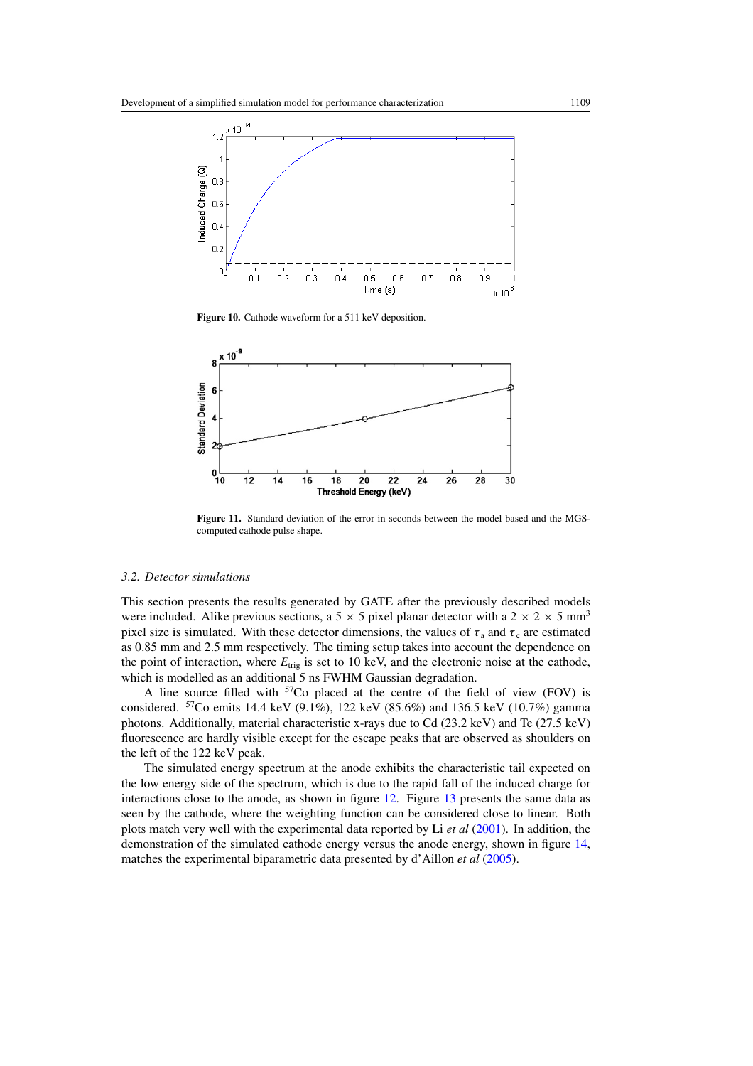<span id="page-10-0"></span>

Figure 10. Cathode waveform for a 511 keV deposition.



**Figure 11.** Standard deviation of the error in seconds between the model based and the MGScomputed cathode pulse shape.

## *3.2. Detector simulations*

This section presents the results generated by GATE after the previously described models were included. Alike previous sections, a 5  $\times$  5 pixel planar detector with a 2  $\times$  2  $\times$  5 mm<sup>3</sup> pixel size is simulated. With these detector dimensions, the values of  $\tau_a$  and  $\tau_c$  are estimated as 0.85 mm and 2.5 mm respectively. The timing setup takes into account the dependence on the point of interaction, where  $E_{\text{trig}}$  is set to 10 keV, and the electronic noise at the cathode, which is modelled as an additional 5 ns FWHM Gaussian degradation.

A line source filled with  $57C$ o placed at the centre of the field of view (FOV) is considered. 57Co emits 14.4 keV (9.1%), 122 keV (85.6%) and 136.5 keV (10.7%) gamma photons. Additionally, material characteristic x-rays due to Cd (23.2 keV) and Te (27.5 keV) fluorescence are hardly visible except for the escape peaks that are observed as shoulders on the left of the 122 keV peak.

The simulated energy spectrum at the anode exhibits the characteristic tail expected on the low energy side of the spectrum, which is due to the rapid fall of the induced charge for interactions close to the anode, as shown in figure [12.](#page-11-0) Figure [13](#page-11-0) presents the same data as seen by the cathode, where the weighting function can be considered close to linear. Both plots match very well with the experimental data reported by Li *et al* [\(2001](#page-13-0)). In addition, the demonstration of the simulated cathode energy versus the anode energy, shown in figure [14,](#page-11-0) matches the experimental biparametric data presented by d'Aillon *et al* [\(2005\)](#page-13-0).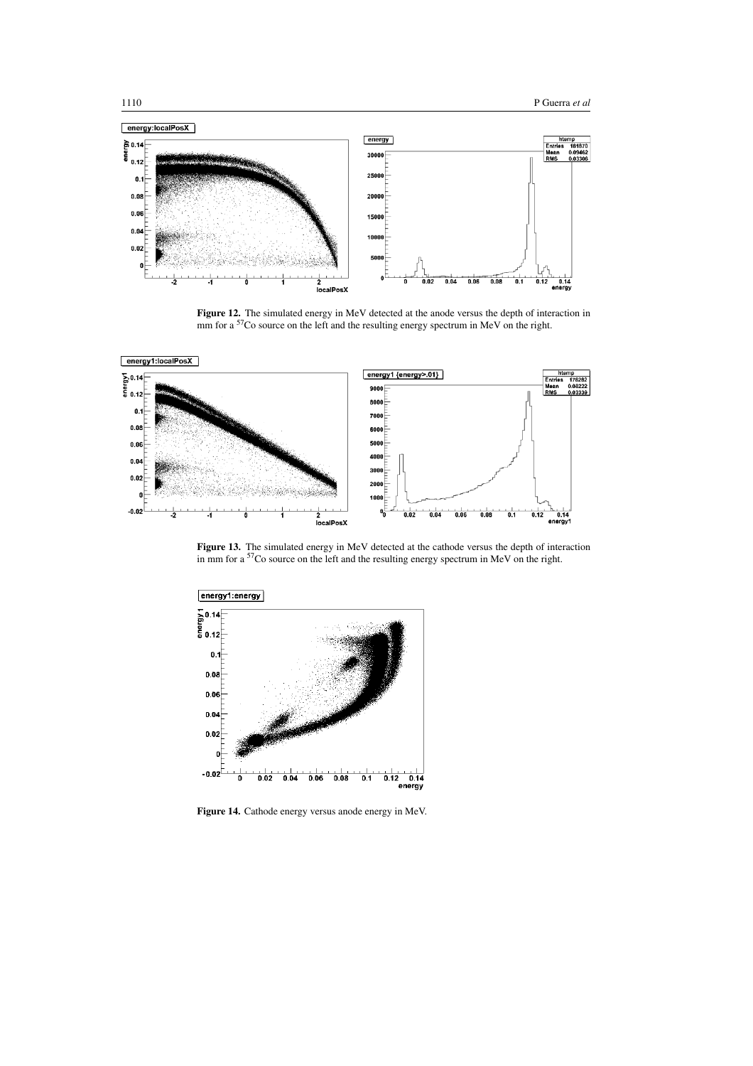<span id="page-11-0"></span>

**Figure 12.** The simulated energy in MeV detected at the anode versus the depth of interaction in mm for a <sup>57</sup>Co source on the left and the resulting energy spectrum in MeV on the right.



**Figure 13.** The simulated energy in MeV detected at the cathode versus the depth of interaction in mm for a <sup>57</sup>Co source on the left and the resulting energy spectrum in MeV on the right.



**Figure 14.** Cathode energy versus anode energy in MeV.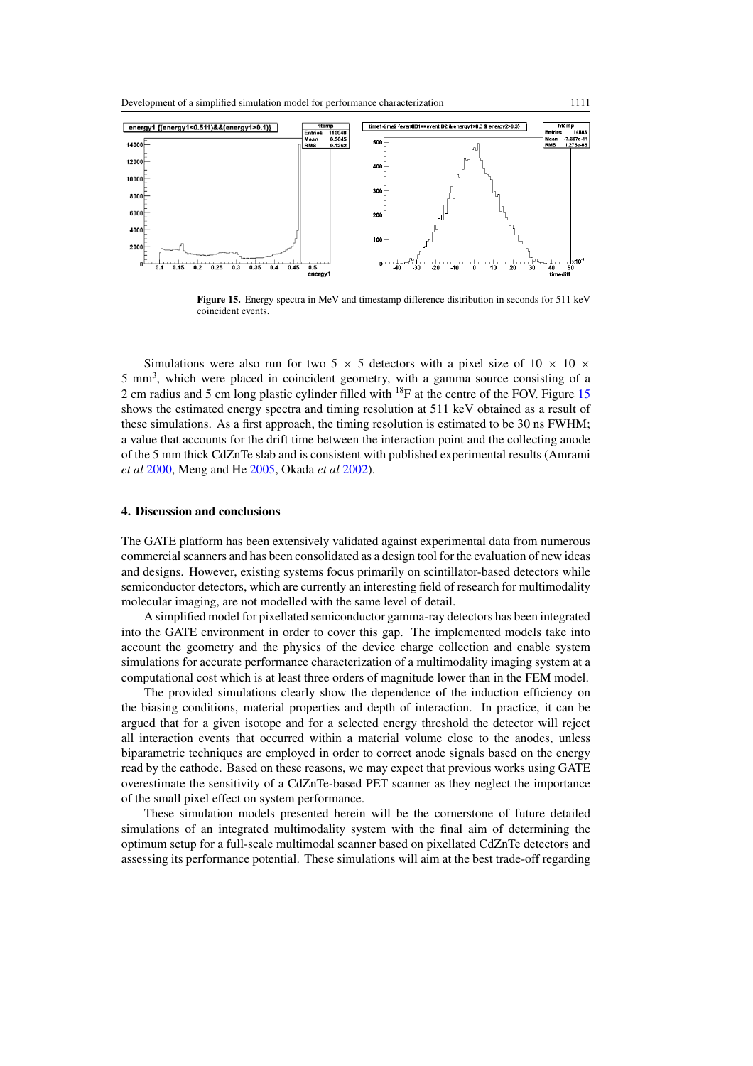

**Figure 15.** Energy spectra in MeV and timestamp difference distribution in seconds for 511 keV coincident events.

Simulations were also run for two 5  $\times$  5 detectors with a pixel size of 10  $\times$  10  $\times$ 5 mm<sup>3</sup>, which were placed in coincident geometry, with a gamma source consisting of a 2 cm radius and 5 cm long plastic cylinder filled with <sup>18</sup>F at the centre of the FOV. Figure 15 shows the estimated energy spectra and timing resolution at 511 keV obtained as a result of these simulations. As a first approach, the timing resolution is estimated to be 30 ns FWHM; a value that accounts for the drift time between the interaction point and the collecting anode of the 5 mm thick CdZnTe slab and is consistent with published experimental results (Amrami *et al* [2000,](#page-13-0) Meng and He [2005](#page-14-0), Okada *et al* [2002\)](#page-14-0).

#### **4. Discussion and conclusions**

The GATE platform has been extensively validated against experimental data from numerous commercial scanners and has been consolidated as a design tool for the evaluation of new ideas and designs. However, existing systems focus primarily on scintillator-based detectors while semiconductor detectors, which are currently an interesting field of research for multimodality molecular imaging, are not modelled with the same level of detail.

A simplified model for pixellated semiconductor gamma-ray detectors has been integrated into the GATE environment in order to cover this gap. The implemented models take into account the geometry and the physics of the device charge collection and enable system simulations for accurate performance characterization of a multimodality imaging system at a computational cost which is at least three orders of magnitude lower than in the FEM model.

The provided simulations clearly show the dependence of the induction efficiency on the biasing conditions, material properties and depth of interaction. In practice, it can be argued that for a given isotope and for a selected energy threshold the detector will reject all interaction events that occurred within a material volume close to the anodes, unless biparametric techniques are employed in order to correct anode signals based on the energy read by the cathode. Based on these reasons, we may expect that previous works using GATE overestimate the sensitivity of a CdZnTe-based PET scanner as they neglect the importance of the small pixel effect on system performance.

These simulation models presented herein will be the cornerstone of future detailed simulations of an integrated multimodality system with the final aim of determining the optimum setup for a full-scale multimodal scanner based on pixellated CdZnTe detectors and assessing its performance potential. These simulations will aim at the best trade-off regarding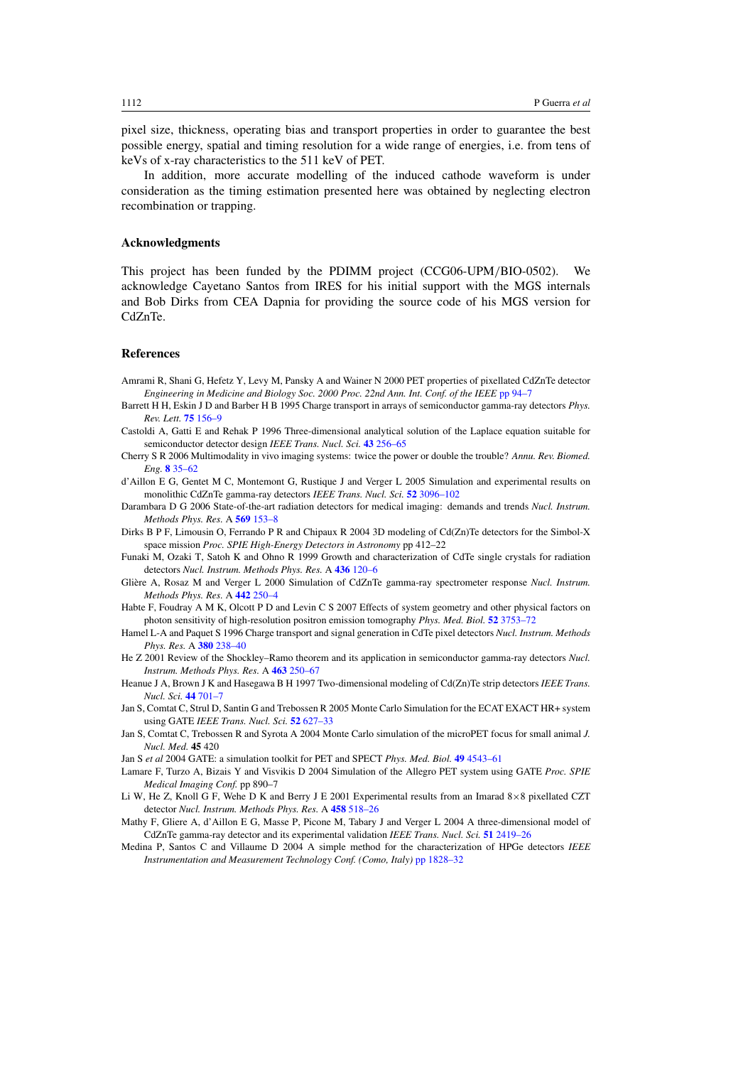<span id="page-13-0"></span>pixel size, thickness, operating bias and transport properties in order to guarantee the best possible energy, spatial and timing resolution for a wide range of energies, i.e. from tens of keVs of x-ray characteristics to the 511 keV of PET.

In addition, more accurate modelling of the induced cathode waveform is under consideration as the timing estimation presented here was obtained by neglecting electron recombination or trapping.

## **Acknowledgments**

This project has been funded by the PDIMM project (CCG06-UPM*/*BIO-0502). We acknowledge Cayetano Santos from IRES for his initial support with the MGS internals and Bob Dirks from CEA Dapnia for providing the source code of his MGS version for CdZnTe.

#### **References**

- Amrami R, Shani G, Hefetz Y, Levy M, Pansky A and Wainer N 2000 PET properties of pixellated CdZnTe detector *Engineering in Medicine and Biology Soc. 2000 Proc. 22nd Ann. Int. Conf. of the IEEE* [pp 94–7](http://dx.doi.org/10.1109/IEMBS.2000.900677)
- Barrett H H, Eskin J D and Barber H B 1995 Charge transport in arrays of semiconductor gamma-ray detectors *Phys. Rev. Lett.* **75** [156–9](http://dx.doi.org/10.1103/PhysRevLett.75.156)
- Castoldi A, Gatti E and Rehak P 1996 Three-dimensional analytical solution of the Laplace equation suitable for semiconductor detector design *IEEE Trans. Nucl. Sci.* **43** [256–65](http://dx.doi.org/10.1109/23.485964)
- Cherry S R 2006 Multimodality in vivo imaging systems: twice the power or double the trouble? *Annu. Rev. Biomed. Eng.* **8** [35–62](http://dx.doi.org/10.1146/annurev.bioeng.8.061505.095728)
- d'Aillon E G, Gentet M C, Montemont G, Rustique J and Verger L 2005 Simulation and experimental results on monolithic CdZnTe gamma-ray detectors *IEEE Trans. Nucl. Sci.* **52** [3096–102](http://dx.doi.org/10.1109/TNS.2005.860176)
- Darambara D G 2006 State-of-the-art radiation detectors for medical imaging: demands and trends *Nucl. Instrum. Methods Phys. Res.* A **569** [153–8](http://dx.doi.org/10.1016/j.nima.2006.08.054)
- Dirks B P F, Limousin O, Ferrando P R and Chipaux R 2004 3D modeling of Cd(Zn)Te detectors for the Simbol-X space mission *Proc. SPIE High-Energy Detectors in Astronomy* pp 412–22
- Funaki M, Ozaki T, Satoh K and Ohno R 1999 Growth and characterization of CdTe single crystals for radiation detectors *Nucl. Instrum. Methods Phys. Res.* A **436** [120–6](http://dx.doi.org/10.1016/S0168-9002(99)00607-5)
- Glière A, Rosaz M and Verger L 2000 Simulation of CdZnTe gamma-ray spectrometer response *Nucl. Instrum. Methods Phys. Res.* A **442** [250–4](http://dx.doi.org/10.1016/50168-9002(99)01229-2)
- Habte F, Foudray A M K, Olcott P D and Levin C S 2007 Effects of system geometry and other physical factors on photon sensitivity of high-resolution positron emission tomography *Phys. Med. Biol.* **52** [3753–72](http://dx.doi.org/10.1088/0031-9155/52/13/007)
- Hamel L-A and Paquet S 1996 Charge transport and signal generation in CdTe pixel detectors *Nucl. Instrum. Methods Phys. Res.* A **380** [238–40](http://dx.doi.org/10.1016/S0168-9002(96)00354-3)
- He Z 2001 Review of the Shockley–Ramo theorem and its application in semiconductor gamma-ray detectors *Nucl. Instrum. Methods Phys. Res.* A **463** [250–67](http://dx.doi.org/10.1016/S0168-9002(01)00223-6)
- Heanue J A, Brown J K and Hasegawa B H 1997 Two-dimensional modeling of Cd(Zn)Te strip detectors *IEEE Trans. Nucl. Sci.* **44** [701–7](http://dx.doi.org/10.1109/23.603737)
- Jan S, Comtat C, Strul D, Santin G and Trebossen R 2005 Monte Carlo Simulation for the ECAT EXACT HR+ system using GATE *IEEE Trans. Nucl. Sci.* **52** [627–33](http://dx.doi.org/10.1109/TNS.2005.851461)
- Jan S, Comtat C, Trebossen R and Syrota A 2004 Monte Carlo simulation of the microPET focus for small animal *J. Nucl. Med.* **45** 420
- Jan S *et al* 2004 GATE: a simulation toolkit for PET and SPECT *Phys. Med. Biol.* **49** [4543–61](http://dx.doi.org/10.1088/0031-9155/49/19/007)
- Lamare F, Turzo A, Bizais Y and Visvikis D 2004 Simulation of the Allegro PET system using GATE *Proc. SPIE Medical Imaging Conf.* pp 890–7
- Li W, He Z, Knoll G F, Wehe D K and Berry J E 2001 Experimental results from an Imarad 8×8 pixellated CZT detector *Nucl. Instrum. Methods Phys. Res.* A **458** [518–26](http://dx.doi.org/10.1016/S0168-9002(00)00913-X)
- Mathy F, Gliere A, d'Aillon E G, Masse P, Picone M, Tabary J and Verger L 2004 A three-dimensional model of CdZnTe gamma-ray detector and its experimental validation *IEEE Trans. Nucl. Sci.* **51** [2419–26](http://dx.doi.org/10.1109/TNS.2004.835906)
- Medina P, Santos C and Villaume D 2004 A simple method for the characterization of HPGe detectors *IEEE Instrumentation and Measurement Technology Conf. (Como, Italy)* [pp 1828–32](http://dx.doi.org/10.1109/IMTC.2004.1351438)